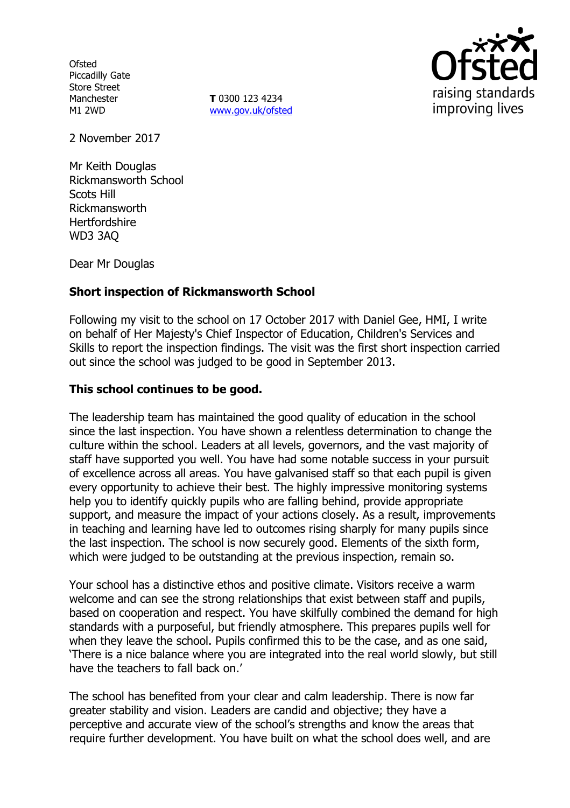**Ofsted** Piccadilly Gate Store Street Manchester M1 2WD

**T** 0300 123 4234 www.gov.uk/ofsted



2 November 2017

Mr Keith Douglas Rickmansworth School Scots Hill Rickmansworth **Hertfordshire** WD3 3AQ

Dear Mr Douglas

# **Short inspection of Rickmansworth School**

Following my visit to the school on 17 October 2017 with Daniel Gee, HMI, I write on behalf of Her Majesty's Chief Inspector of Education, Children's Services and Skills to report the inspection findings. The visit was the first short inspection carried out since the school was judged to be good in September 2013.

### **This school continues to be good.**

The leadership team has maintained the good quality of education in the school since the last inspection. You have shown a relentless determination to change the culture within the school. Leaders at all levels, governors, and the vast majority of staff have supported you well. You have had some notable success in your pursuit of excellence across all areas. You have galvanised staff so that each pupil is given every opportunity to achieve their best. The highly impressive monitoring systems help you to identify quickly pupils who are falling behind, provide appropriate support, and measure the impact of your actions closely. As a result, improvements in teaching and learning have led to outcomes rising sharply for many pupils since the last inspection. The school is now securely good. Elements of the sixth form, which were judged to be outstanding at the previous inspection, remain so.

Your school has a distinctive ethos and positive climate. Visitors receive a warm welcome and can see the strong relationships that exist between staff and pupils, based on cooperation and respect. You have skilfully combined the demand for high standards with a purposeful, but friendly atmosphere. This prepares pupils well for when they leave the school. Pupils confirmed this to be the case, and as one said, 'There is a nice balance where you are integrated into the real world slowly, but still have the teachers to fall back on.'

The school has benefited from your clear and calm leadership. There is now far greater stability and vision. Leaders are candid and objective; they have a perceptive and accurate view of the school's strengths and know the areas that require further development. You have built on what the school does well, and are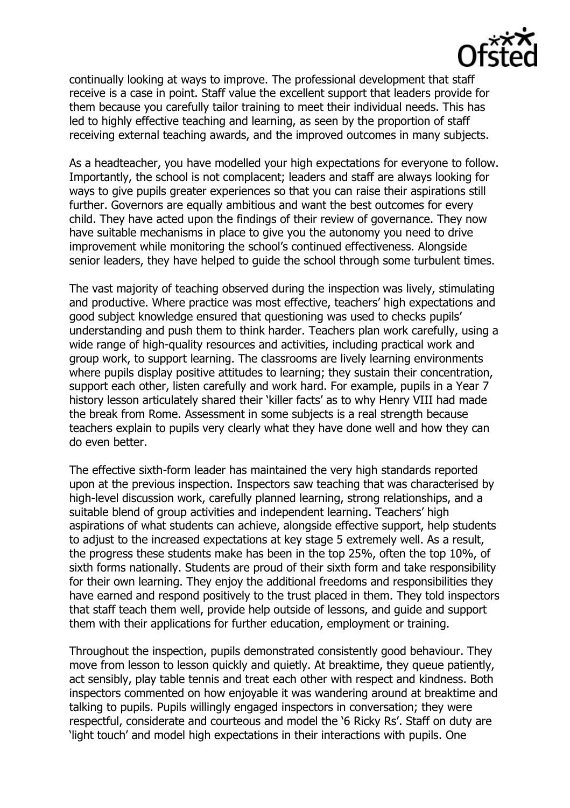

continually looking at ways to improve. The professional development that staff receive is a case in point. Staff value the excellent support that leaders provide for them because you carefully tailor training to meet their individual needs. This has led to highly effective teaching and learning, as seen by the proportion of staff receiving external teaching awards, and the improved outcomes in many subjects.

As a headteacher, you have modelled your high expectations for everyone to follow. Importantly, the school is not complacent; leaders and staff are always looking for ways to give pupils greater experiences so that you can raise their aspirations still further. Governors are equally ambitious and want the best outcomes for every child. They have acted upon the findings of their review of governance. They now have suitable mechanisms in place to give you the autonomy you need to drive improvement while monitoring the school's continued effectiveness. Alongside senior leaders, they have helped to guide the school through some turbulent times.

The vast majority of teaching observed during the inspection was lively, stimulating and productive. Where practice was most effective, teachers' high expectations and good subject knowledge ensured that questioning was used to checks pupils' understanding and push them to think harder. Teachers plan work carefully, using a wide range of high-quality resources and activities, including practical work and group work, to support learning. The classrooms are lively learning environments where pupils display positive attitudes to learning; they sustain their concentration, support each other, listen carefully and work hard. For example, pupils in a Year 7 history lesson articulately shared their 'killer facts' as to why Henry VIII had made the break from Rome. Assessment in some subjects is a real strength because teachers explain to pupils very clearly what they have done well and how they can do even better.

The effective sixth-form leader has maintained the very high standards reported upon at the previous inspection. Inspectors saw teaching that was characterised by high-level discussion work, carefully planned learning, strong relationships, and a suitable blend of group activities and independent learning. Teachers' high aspirations of what students can achieve, alongside effective support, help students to adjust to the increased expectations at key stage 5 extremely well. As a result, the progress these students make has been in the top 25%, often the top 10%, of sixth forms nationally. Students are proud of their sixth form and take responsibility for their own learning. They enjoy the additional freedoms and responsibilities they have earned and respond positively to the trust placed in them. They told inspectors that staff teach them well, provide help outside of lessons, and guide and support them with their applications for further education, employment or training.

Throughout the inspection, pupils demonstrated consistently good behaviour. They move from lesson to lesson quickly and quietly. At breaktime, they queue patiently, act sensibly, play table tennis and treat each other with respect and kindness. Both inspectors commented on how enjoyable it was wandering around at breaktime and talking to pupils. Pupils willingly engaged inspectors in conversation; they were respectful, considerate and courteous and model the '6 Ricky Rs'. Staff on duty are 'light touch' and model high expectations in their interactions with pupils. One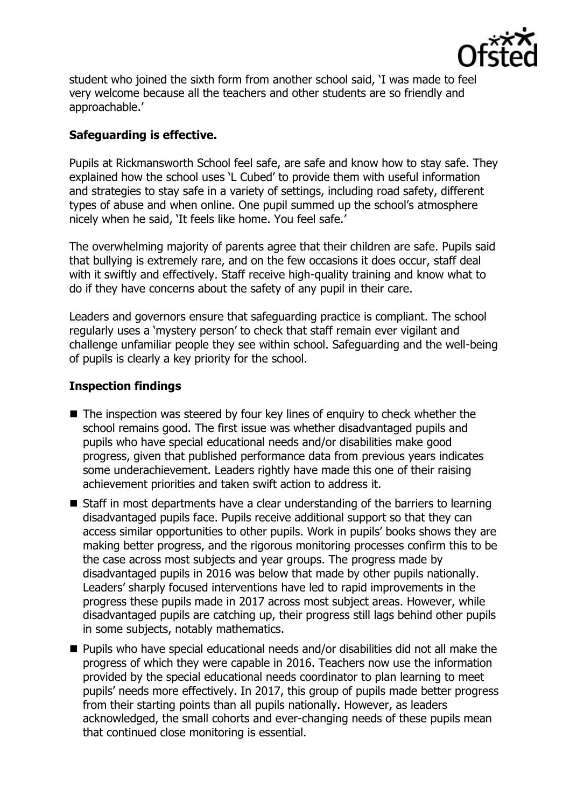

student who joined the sixth form from another school said, 'I was made to feel very welcome because all the teachers and other students are so friendly and approachable.'

## **Safeguarding is effective.**

Pupils at Rickmansworth School feel safe, are safe and know how to stay safe. They explained how the school uses 'L Cubed' to provide them with useful information and strategies to stay safe in a variety of settings, including road safety, different types of abuse and when online. One pupil summed up the school's atmosphere nicely when he said, 'It feels like home. You feel safe.'

The overwhelming majority of parents agree that their children are safe. Pupils said that bullying is extremely rare, and on the few occasions it does occur, staff deal with it swiftly and effectively. Staff receive high-quality training and know what to do if they have concerns about the safety of any pupil in their care.

Leaders and governors ensure that safeguarding practice is compliant. The school regularly uses a 'mystery person' to check that staff remain ever vigilant and challenge unfamiliar people they see within school. Safeguarding and the well-being of pupils is clearly a key priority for the school.

### **Inspection findings**

- $\blacksquare$  The inspection was steered by four key lines of enquiry to check whether the school remains good. The first issue was whether disadvantaged pupils and pupils who have special educational needs and/or disabilities make good progress, given that published performance data from previous years indicates some underachievement. Leaders rightly have made this one of their raising achievement priorities and taken swift action to address it.
- Staff in most departments have a clear understanding of the barriers to learning disadvantaged pupils face. Pupils receive additional support so that they can access similar opportunities to other pupils. Work in pupils' books shows they are making better progress, and the rigorous monitoring processes confirm this to be the case across most subjects and year groups. The progress made by disadvantaged pupils in 2016 was below that made by other pupils nationally. Leaders' sharply focused interventions have led to rapid improvements in the progress these pupils made in 2017 across most subject areas. However, while disadvantaged pupils are catching up, their progress still lags behind other pupils in some subjects, notably mathematics.
- Pupils who have special educational needs and/or disabilities did not all make the progress of which they were capable in 2016. Teachers now use the information provided by the special educational needs coordinator to plan learning to meet pupils' needs more effectively. In 2017, this group of pupils made better progress from their starting points than all pupils nationally. However, as leaders acknowledged, the small cohorts and ever-changing needs of these pupils mean that continued close monitoring is essential.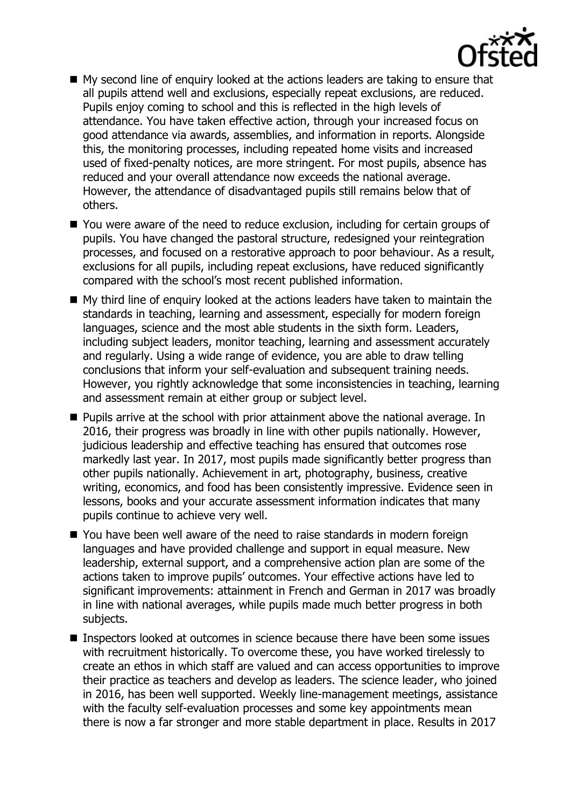

- My second line of enquiry looked at the actions leaders are taking to ensure that all pupils attend well and exclusions, especially repeat exclusions, are reduced. Pupils enjoy coming to school and this is reflected in the high levels of attendance. You have taken effective action, through your increased focus on good attendance via awards, assemblies, and information in reports. Alongside this, the monitoring processes, including repeated home visits and increased used of fixed-penalty notices, are more stringent. For most pupils, absence has reduced and your overall attendance now exceeds the national average. However, the attendance of disadvantaged pupils still remains below that of others.
- You were aware of the need to reduce exclusion, including for certain groups of pupils. You have changed the pastoral structure, redesigned your reintegration processes, and focused on a restorative approach to poor behaviour. As a result, exclusions for all pupils, including repeat exclusions, have reduced significantly compared with the school's most recent published information.
- My third line of enquiry looked at the actions leaders have taken to maintain the standards in teaching, learning and assessment, especially for modern foreign languages, science and the most able students in the sixth form. Leaders, including subject leaders, monitor teaching, learning and assessment accurately and regularly. Using a wide range of evidence, you are able to draw telling conclusions that inform your self-evaluation and subsequent training needs. However, you rightly acknowledge that some inconsistencies in teaching, learning and assessment remain at either group or subject level.
- **Pupils arrive at the school with prior attainment above the national average. In** 2016, their progress was broadly in line with other pupils nationally. However, judicious leadership and effective teaching has ensured that outcomes rose markedly last year. In 2017, most pupils made significantly better progress than other pupils nationally. Achievement in art, photography, business, creative writing, economics, and food has been consistently impressive. Evidence seen in lessons, books and your accurate assessment information indicates that many pupils continue to achieve very well.
- You have been well aware of the need to raise standards in modern foreign languages and have provided challenge and support in equal measure. New leadership, external support, and a comprehensive action plan are some of the actions taken to improve pupils' outcomes. Your effective actions have led to significant improvements: attainment in French and German in 2017 was broadly in line with national averages, while pupils made much better progress in both subjects.
- Inspectors looked at outcomes in science because there have been some issues with recruitment historically. To overcome these, you have worked tirelessly to create an ethos in which staff are valued and can access opportunities to improve their practice as teachers and develop as leaders. The science leader, who joined in 2016, has been well supported. Weekly line-management meetings, assistance with the faculty self-evaluation processes and some key appointments mean there is now a far stronger and more stable department in place. Results in 2017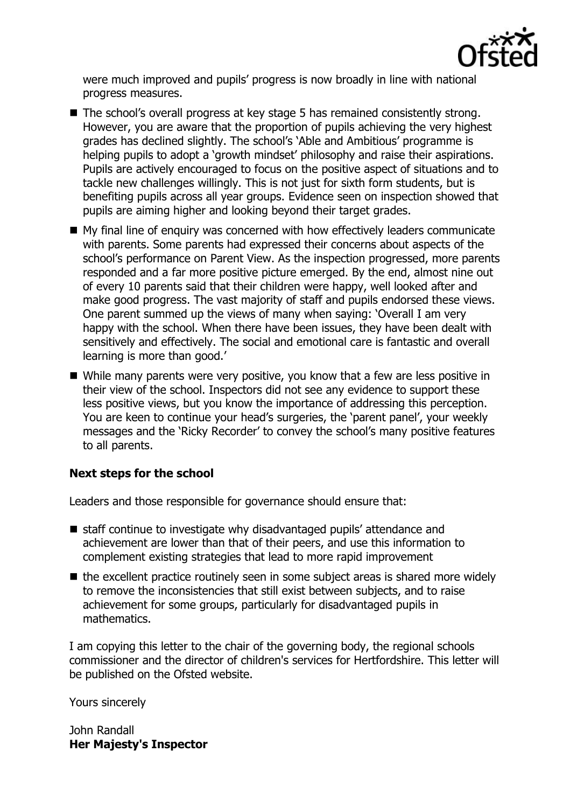

were much improved and pupils' progress is now broadly in line with national progress measures.

- The school's overall progress at key stage 5 has remained consistently strong. However, you are aware that the proportion of pupils achieving the very highest grades has declined slightly. The school's 'Able and Ambitious' programme is helping pupils to adopt a 'growth mindset' philosophy and raise their aspirations. Pupils are actively encouraged to focus on the positive aspect of situations and to tackle new challenges willingly. This is not just for sixth form students, but is benefiting pupils across all year groups. Evidence seen on inspection showed that pupils are aiming higher and looking beyond their target grades.
- My final line of enquiry was concerned with how effectively leaders communicate with parents. Some parents had expressed their concerns about aspects of the school's performance on Parent View. As the inspection progressed, more parents responded and a far more positive picture emerged. By the end, almost nine out of every 10 parents said that their children were happy, well looked after and make good progress. The vast majority of staff and pupils endorsed these views. One parent summed up the views of many when saying: 'Overall I am very happy with the school. When there have been issues, they have been dealt with sensitively and effectively. The social and emotional care is fantastic and overall learning is more than good.'
- While many parents were very positive, you know that a few are less positive in their view of the school. Inspectors did not see any evidence to support these less positive views, but you know the importance of addressing this perception. You are keen to continue your head's surgeries, the 'parent panel', your weekly messages and the 'Ricky Recorder' to convey the school's many positive features to all parents.

# **Next steps for the school**

Leaders and those responsible for governance should ensure that:

- staff continue to investigate why disadvantaged pupils' attendance and achievement are lower than that of their peers, and use this information to complement existing strategies that lead to more rapid improvement
- $\blacksquare$  the excellent practice routinely seen in some subject areas is shared more widely to remove the inconsistencies that still exist between subjects, and to raise achievement for some groups, particularly for disadvantaged pupils in mathematics.

I am copying this letter to the chair of the governing body, the regional schools commissioner and the director of children's services for Hertfordshire. This letter will be published on the Ofsted website.

Yours sincerely

John Randall **Her Majesty's Inspector**